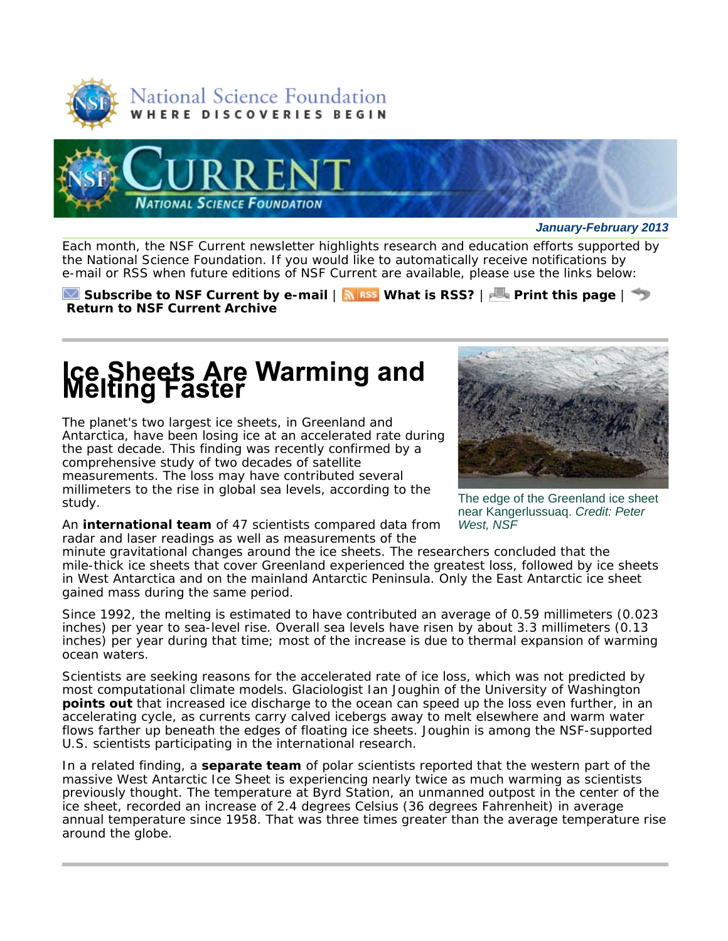



*January-February 2013*

Each month, the *NSF Current* newsletter highlights research and education efforts supported by the National Science Foundation. If you would like to automatically receive notifications by e-mail or RSS when future editions of *NSF Current* are available, please use the links below:

**Subscribe to** *NSF Current* **by e-mail** | **What is RSS?** | **Print this page** | **Return to** *NSF Current* **Archive**

#### Ice Sheets Are Warming and<br>Melting Faster

The planet's two largest ice sheets, in Greenland and Antarctica, have been losing ice at an accelerated rate during the past decade. This finding was recently confirmed by a comprehensive study of two decades of satellite measurements. The loss may have contributed several millimeters to the rise in global sea levels, according to the study.



The edge of the Greenland ice sheet near Kangerlussuaq. *Credit: Peter West, NSF*

An **international team** of 47 scientists compared data from radar and laser readings as well as measurements of the

minute gravitational changes around the ice sheets. The researchers concluded that the mile-thick ice sheets that cover Greenland experienced the greatest loss, followed by ice sheets in West Antarctica and on the mainland Antarctic Peninsula. Only the East Antarctic ice sheet gained mass during the same period.

Since 1992, the melting is estimated to have contributed an average of 0.59 millimeters (0.023 inches) per year to sea-level rise. Overall sea levels have risen by about 3.3 millimeters (0.13 inches) per year during that time; most of the increase is due to thermal expansion of warming ocean waters.

Scientists are seeking reasons for the accelerated rate of ice loss, which was not predicted by most computational climate models. Glaciologist Ian Joughin of the University of Washington **points out** that increased ice discharge to the ocean can speed up the loss even further, in an accelerating cycle, as currents carry calved icebergs away to melt elsewhere and warm water flows farther up beneath the edges of floating ice sheets. Joughin is among the NSF-supported U.S. scientists participating in the international research.

In a related finding, a **separate team** of polar scientists reported that the western part of the massive West Antarctic Ice Sheet is experiencing nearly twice as much warming as scientists previously thought. The temperature at Byrd Station, an unmanned outpost in the center of the ice sheet, recorded an increase of 2.4 degrees Celsius (36 degrees Fahrenheit) in average annual temperature since 1958. That was three times greater than the average temperature rise around the globe.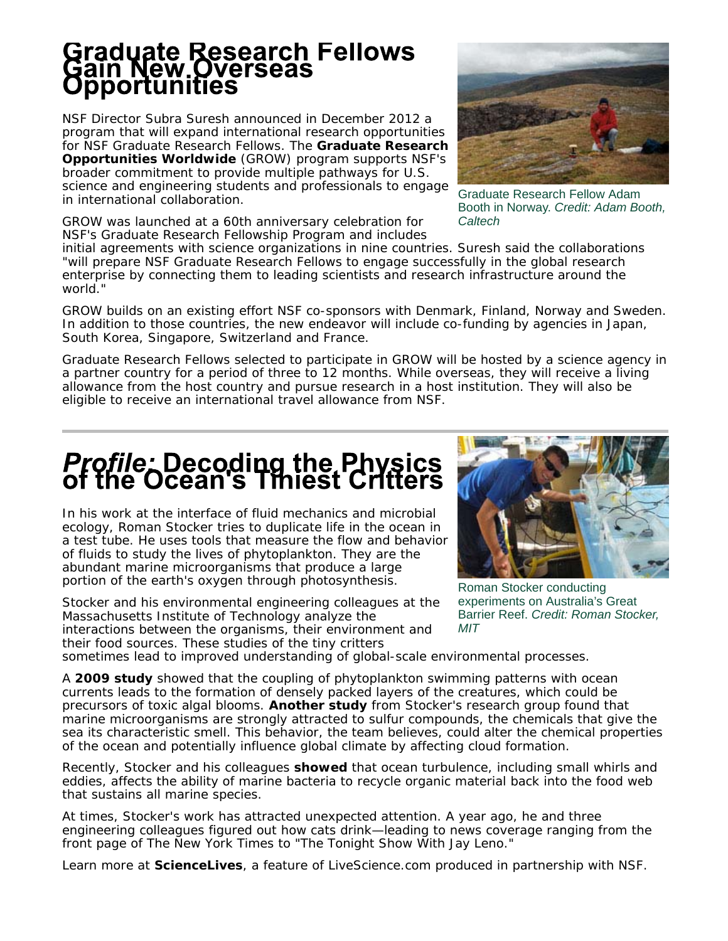## Graduate Research Fellows<br>Gain New Overseas<br>Opportunities

NSF Director Subra Suresh announced in December 2012 a program that will expand international research opportunities for NSF Graduate Research Fellows. The **Graduate Research Opportunities Worldwide** (GROW) program supports NSF's broader commitment to provide multiple pathways for U.S. science and engineering students and professionals to engage in international collaboration.

GROW was launched at a 60th anniversary celebration for NSF's Graduate Research Fellowship Program and includes



Graduate Research Fellow Adam Booth in Norway. *Credit: Adam Booth, Caltech*

initial agreements with science organizations in nine countries. Suresh said the collaborations "will prepare NSF Graduate Research Fellows to engage successfully in the global research enterprise by connecting them to leading scientists and research infrastructure around the world."

GROW builds on an existing effort NSF co-sponsors with Denmark, Finland, Norway and Sweden. In addition to those countries, the new endeavor will include co-funding by agencies in Japan, South Korea, Singapore, Switzerland and France.

Graduate Research Fellows selected to participate in GROW will be hosted by a science agency in a partner country for a period of three to 12 months. While overseas, they will receive a living allowance from the host country and pursue research in a host institution. They will also be eligible to receive an international travel allowance from NSF.

#### **Profile: Decoding the Physics<br>of the Ocean's Tiniest Critters**

In his work at the interface of fluid mechanics and microbial ecology, Roman Stocker tries to duplicate life in the ocean in a test tube. He uses tools that measure the flow and behavior of fluids to study the lives of phytoplankton. They are the abundant marine microorganisms that produce a large portion of the earth's oxygen through photosynthesis.

Stocker and his environmental engineering colleagues at the Massachusetts Institute of Technology analyze the interactions between the organisms, their environment and their food sources. These studies of the tiny critters



Roman Stocker conducting experiments on Australia's Great Barrier Reef. *Credit: Roman Stocker, MIT*

sometimes lead to improved understanding of global-scale environmental processes.

A **2009 study** showed that the coupling of phytoplankton swimming patterns with ocean currents leads to the formation of densely packed layers of the creatures, which could be precursors of toxic algal blooms. **Another study** from Stocker's research group found that marine microorganisms are strongly attracted to sulfur compounds, the chemicals that give the sea its characteristic smell. This behavior, the team believes, could alter the chemical properties of the ocean and potentially influence global climate by affecting cloud formation.

Recently, Stocker and his colleagues **showed** that ocean turbulence, including small whirls and eddies, affects the ability of marine bacteria to recycle organic material back into the food web that sustains all marine species.

At times, Stocker's work has attracted unexpected attention. A year ago, he and three engineering colleagues figured out how cats drink—leading to news coverage ranging from the front page of *The New York Times* to *"The Tonight Show With Jay Leno."*

*Learn more at ScienceLives, a feature of LiveScience.com produced in partnership with NSF.*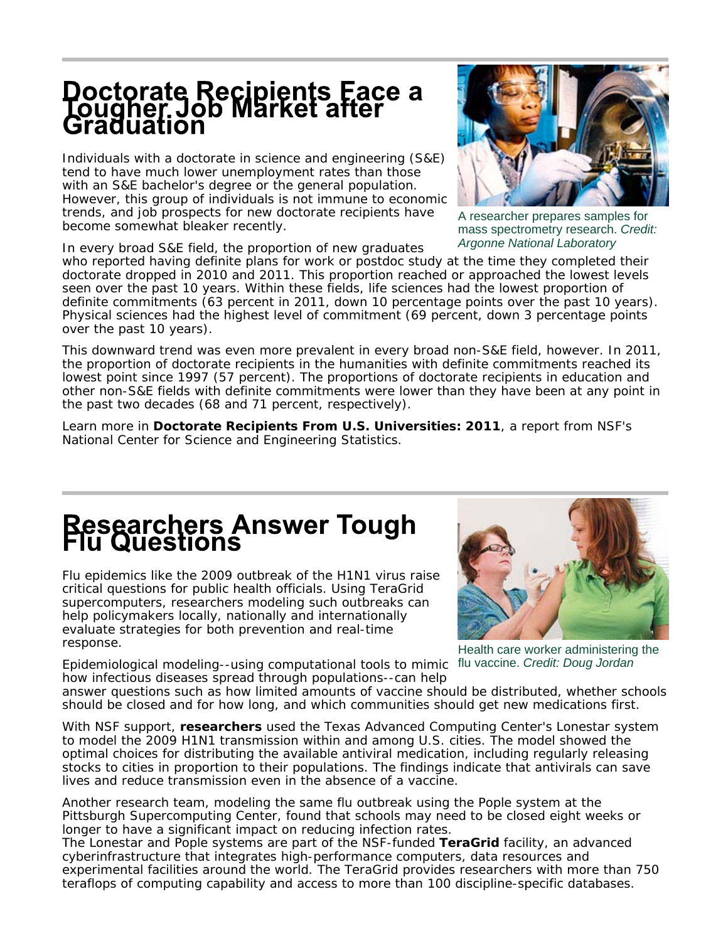## **Doctorate Recipients Face a<br>Tougher Job Market after<br>Graduation**

Individuals with a doctorate in science and engineering (S&E) tend to have much lower unemployment rates than those with an S&E bachelor's degree or the general population. However, this group of individuals is not immune to economic trends, and job prospects for new doctorate recipients have become somewhat bleaker recently.

In every broad S&E field, the proportion of new graduates

who reported having definite plans for work or postdoc study at the time they completed their doctorate dropped in 2010 and 2011. This proportion reached or approached the lowest levels seen over the past 10 years. Within these fields, life sciences had the lowest proportion of definite commitments (63 percent in 2011, down 10 percentage points over the past 10 years). Physical sciences had the highest level of commitment (69 percent, down 3 percentage points over the past 10 years).

This downward trend was even more prevalent in every broad non-S&E field, however. In 2011, the proportion of doctorate recipients in the humanities with definite commitments reached its lowest point since 1997 (57 percent). The proportions of doctorate recipients in education and other non-S&E fields with definite commitments were lower than they have been at any point in the past two decades (68 and 71 percent, respectively).

Learn more in *Doctorate Recipients From U.S. Universities: 2011,* a report from NSF's National Center for Science and Engineering Statistics*.*

#### **Researchers Answer Tough<br>Flu Questions**

Flu epidemics like the 2009 outbreak of the H1N1 virus raise critical questions for public health officials. Using TeraGrid supercomputers, researchers modeling such outbreaks can help policymakers locally, nationally and internationally evaluate strategies for both prevention and real-time response.

Health care worker administering the Epidemiological modeling--using computational tools to mimic flu vaccine. Credit: Doug Jordan

how infectious diseases spread through populations--can help answer questions such as how limited amounts of vaccine should be distributed, whether schools should be closed and for how long, and which communities should get new medications first.

With NSF support, **researchers** used the Texas Advanced Computing Center's Lonestar system to model the 2009 H1N1 transmission within and among U.S. cities. The model showed the optimal choices for distributing the available antiviral medication, including regularly releasing stocks to cities in proportion to their populations. The findings indicate that antivirals can save lives and reduce transmission even in the absence of a vaccine.

Another research team, modeling the same flu outbreak using the Pople system at the Pittsburgh Supercomputing Center, found that schools may need to be closed eight weeks or longer to have a significant impact on reducing infection rates.

The Lonestar and Pople systems are part of the NSF-funded **TeraGrid** facility, an advanced cyberinfrastructure that integrates high-performance computers, data resources and experimental facilities around the world. The TeraGrid provides researchers with more than 750 teraflops of computing capability and access to more than 100 discipline-specific databases.





A researcher prepares samples for mass spectrometry research. *Credit: Argonne National Laboratory*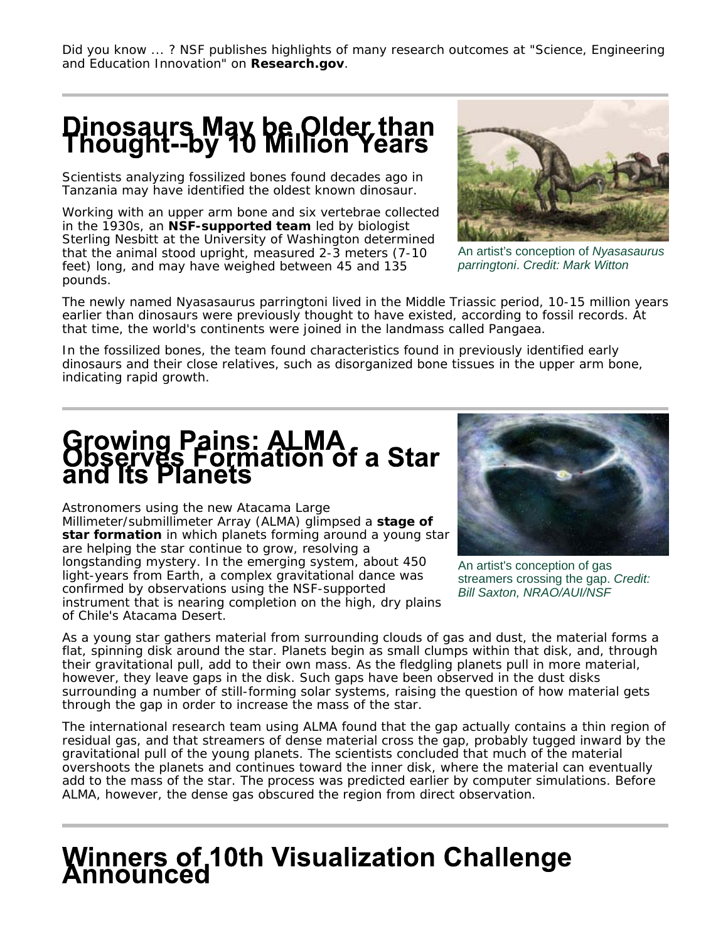*Did you know ... ? NSF publishes highlights of many research outcomes at "Science, Engineering and Education Innovation" on Research.gov.*

### Dinosaurs May be Older than<br>Thought--by 10 Million Years

Scientists analyzing fossilized bones found decades ago in Tanzania may have identified the oldest known dinosaur.

Working with an upper arm bone and six vertebrae collected in the 1930s, an **NSF-supported team** led by biologist Sterling Nesbitt at the University of Washington determined that the animal stood upright, measured 2-3 meters (7-10 feet) long, and may have weighed between 45 and 135 pounds.



An artist's conception of *Nyasasaurus parringtoni*. *Credit: Mark Witton*

The newly named *Nyasasaurus parringtoni* lived in the Middle Triassic period, 10-15 million years earlier than dinosaurs were previously thought to have existed, according to fossil records. At that time, the world's continents were joined in the landmass called Pangaea.

In the fossilized bones, the team found characteristics found in previously identified early dinosaurs and their close relatives, such as disorganized bone tissues in the upper arm bone, indicating rapid growth.

# Growing Pains: ALMA<br>Observes Formation of a Star<br>and Its Planets

Astronomers using the new Atacama Large Millimeter/submillimeter Array (ALMA) glimpsed a **stage of star formation** in which planets forming around a young star are helping the star continue to grow, resolving a longstanding mystery. In the emerging system, about 450 light-years from Earth, a complex gravitational dance was confirmed by observations using the NSF-supported instrument that is nearing completion on the high, dry plains of Chile's Atacama Desert.



An artist's conception of gas streamers crossing the gap. *Credit: Bill Saxton, NRAO/AUI/NSF*

As a young star gathers material from surrounding clouds of gas and dust, the material forms a flat, spinning disk around the star. Planets begin as small clumps within that disk, and, through their gravitational pull, add to their own mass. As the fledgling planets pull in more material, however, they leave gaps in the disk. Such gaps have been observed in the dust disks surrounding a number of still-forming solar systems, raising the question of how material gets through the gap in order to increase the mass of the star.

The international research team using ALMA found that the gap actually contains a thin region of residual gas, and that streamers of dense material cross the gap, probably tugged inward by the gravitational pull of the young planets. The scientists concluded that much of the material overshoots the planets and continues toward the inner disk, where the material can eventually add to the mass of the star. The process was predicted earlier by computer simulations. Before ALMA, however, the dense gas obscured the region from direct observation.

### **Winners of 10th Visualization Challenge**<br>Announced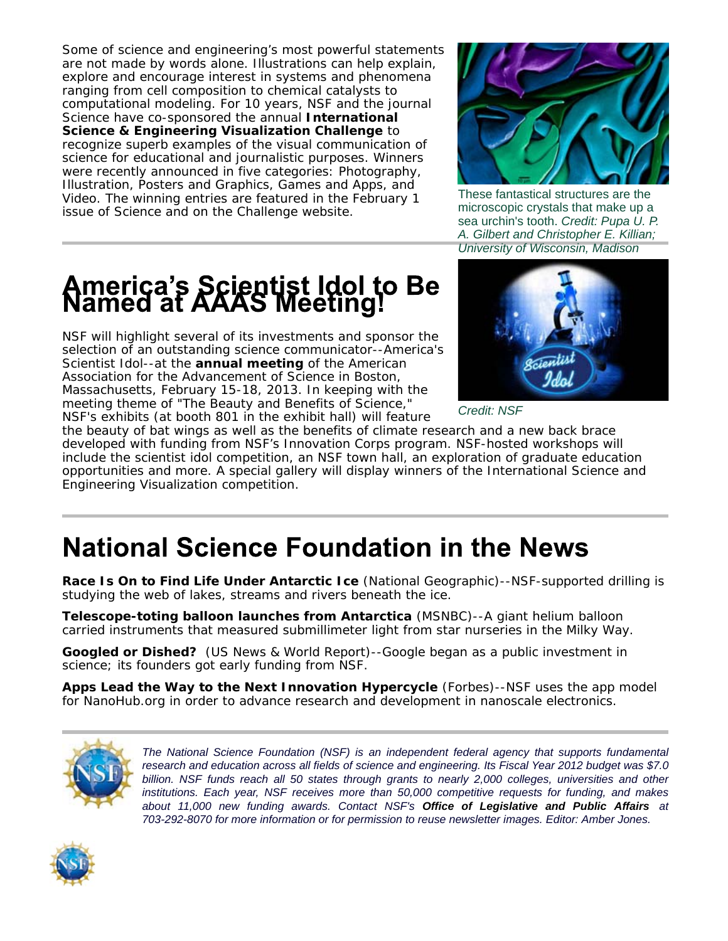Some of science and engineering's most powerful statements are not made by words alone. Illustrations can help explain, explore and encourage interest in systems and phenomena ranging from cell composition to chemical catalysts to computational modeling. For 10 years, NSF and the journal *Science* have co-sponsored the annual **International Science & Engineering Visualization Challenge** to recognize superb examples of the visual communication of science for educational and journalistic purposes. Winners were recently announced in five categories: Photography, Illustration, Posters and Graphics, Games and Apps, and Video. The winning entries are featured in the February 1 issue of *Science* and on the Challenge website.



These fantastical structures are the microscopic crystals that make up a sea urchin's tooth. *Credit: Pupa U. P. A. Gilbert and Christopher E. Killian; University of Wisconsin, Madison*

### **America's Scientist Idol to Be<br>Named at AAAS Meeting!**

NSF will highlight several of its investments and sponsor the selection of an outstanding science communicator--America's Scientist Idol--at the **annual meeting** of the American Association for the Advancement of Science in Boston, Massachusetts, February 15-18, 2013. In keeping with the meeting theme of "The Beauty and Benefits of Science," NSF's exhibits (at booth 801 in the exhibit hall) will feature



*Credit: NSF*

the beauty of bat wings as well as the benefits of climate research and a new back brace developed with funding from NSF's Innovation Corps program. NSF-hosted workshops will include the scientist idol competition, an NSF town hall, an exploration of graduate education opportunities and more. A special gallery will display winners of the International Science and Engineering Visualization competition.

#### **National Science Foundation in the News**

**Race Is On to Find Life Under Antarctic Ice** *(National Geographic)--*NSF-supported drilling is studying the web of lakes, streams and rivers beneath the ice.

**Telescope-toting balloon launches from Antarctica** *(MSNBC)--*A giant helium balloon carried instruments that measured submillimeter light from star nurseries in the Milky Way.

**Googled or Dished?** *(US News & World Report)--*Google began as a public investment in science; its founders got early funding from NSF.

**Apps Lead the Way to the Next Innovation Hypercycle** *(Forbes)--*NSF uses the app model for NanoHub.org in order to advance research and development in nanoscale electronics.



*The National Science Foundation (NSF) is an independent federal agency that supports fundamental research and education across all fields of science and engineering. Its Fiscal Year 2012 budget was \$7.0 billion. NSF funds reach all 50 states through grants to nearly 2,000 colleges, universities and other institutions. Each year, NSF receives more than 50,000 competitive requests for funding, and makes about 11,000 new funding awards. Contact NSF's Office of Legislative and Public Affairs at 703-292-8070 for more information or for permission to reuse newsletter images. Editor: Amber Jones.*